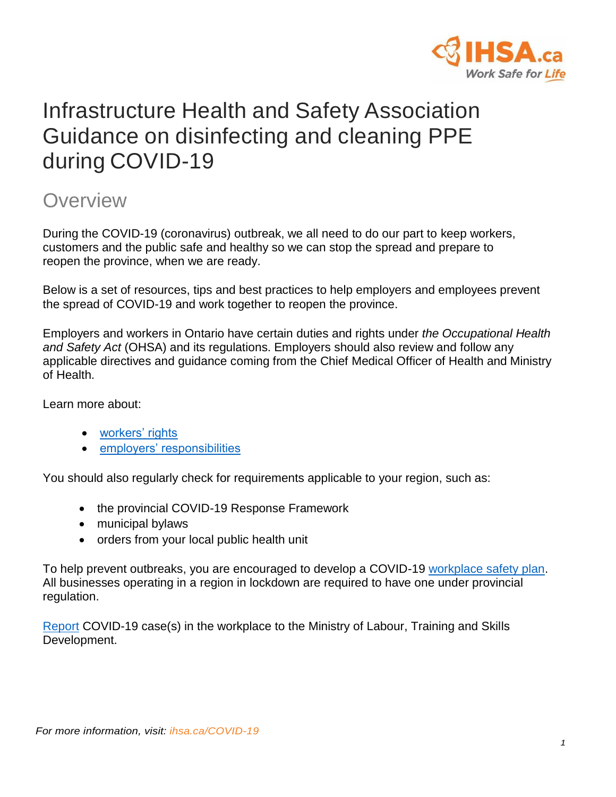

# Infrastructure Health and Safety Association Guidance on disinfecting and cleaning PPE during COVID-19

## **Overview**

During the COVID-19 (coronavirus) outbreak, we all need to do our part to keep workers, customers and the public safe and healthy so we can stop the spread and prepare to reopen the province, when we are ready.

Below is a set of resources, tips and best practices to help employers and employees prevent the spread of COVID-19 and work together to reopen the province.

Employers and workers in Ontario have certain duties and rights under *the Occupational Health and Safety Act* (OHSA) and its regulations. Employers should also review and follow any applicable directives and guidance coming from the Chief Medical Officer of Health and Ministry of Health.

Learn more about:

- [workers' rights](https://www.ontario.ca/page/covid-19-support-workers#rights)
- [employers' responsibilities](https://covid-19.ontario.ca/covid-19-help-businesses-ontario#section-5)

You should also regularly check for requirements applicable to your region, such as:

- the provincial COVID-19 Response Framework
- municipal bylaws
- orders from your local public health unit

To help prevent outbreaks, you are encouraged to develop a COVID-19 [workplace safety plan.](https://www.ontario.ca/page/develop-your-covid-19-workplace-safety-plan) All businesses operating in a region in lockdown are required to have one under provincial regulation.

[Report](https://www.ontario.ca/page/covid-19-coronavirus-and-workplace-health-and-safety) COVID-19 case(s) in the workplace to the Ministry of Labour, Training and Skills Development.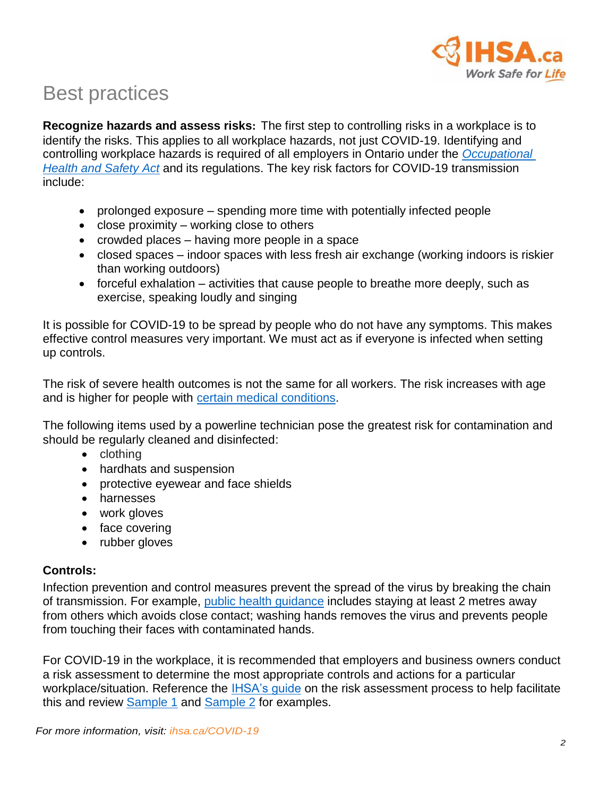

# Best practices

**Recognize hazards and assess risks:** The first step to controlling risks in a workplace is to identify the risks. This applies to all workplace hazards, not just COVID-19. Identifying and controlling workplace hazards is required of all employers in Ontario under the *[Occupational](https://www.ontario.ca/document/guide-occupational-health-and-safety-act)  [Health and Safety Act](https://www.ontario.ca/document/guide-occupational-health-and-safety-act)* and its regulations. The key risk factors for COVID-19 transmission include:

- prolonged exposure spending more time with potentially infected people
- close proximity working close to others
- crowded places having more people in a space
- closed spaces indoor spaces with less fresh air exchange (working indoors is riskier than working outdoors)
- forceful exhalation activities that cause people to breathe more deeply, such as exercise, speaking loudly and singing

It is possible for COVID-19 to be spread by people who do not have any symptoms. This makes effective control measures very important. We must act as if everyone is infected when setting up controls.

The risk of severe health outcomes is not the same for all workers. The risk increases with age and is higher for people with [certain medical conditions.](https://www.ontario.ca/page/covid-19-stop-spread#section-0)

The following items used by a powerline technician pose the greatest risk for contamination and should be regularly cleaned and disinfected:

- clothing
- hardhats and suspension
- protective eyewear and face shields
- harnesses
- work gloves
- face covering
- rubber gloves

## **Controls:**

Infection prevention and control measures prevent the spread of the virus by breaking the chain of transmission. For example, [public health](https://www.ontario.ca/page/covid-19-stop-spread#section-1) guidance includes staying at least 2 metres away from others which avoids close contact; washing hands removes the virus and prevents people from touching their faces with contaminated hands.

For COVID-19 in the workplace, it is recommended that employers and business owners conduct a risk assessment to determine the most appropriate controls and actions for a particular workplace/situation. Reference the IHSA's quide on the risk assessment process to help facilitate this and review [Sample 1](https://www.ihsa.ca/pdfs/magazine/volume_20_Issue_2/risk-assessment-form-covid-19-sample-1.pdf) and [Sample 2](https://www.ihsa.ca/pdfs/magazine/volume_20_Issue_2/risk-assessment-form-covid-19-sample-2.pdf) for examples.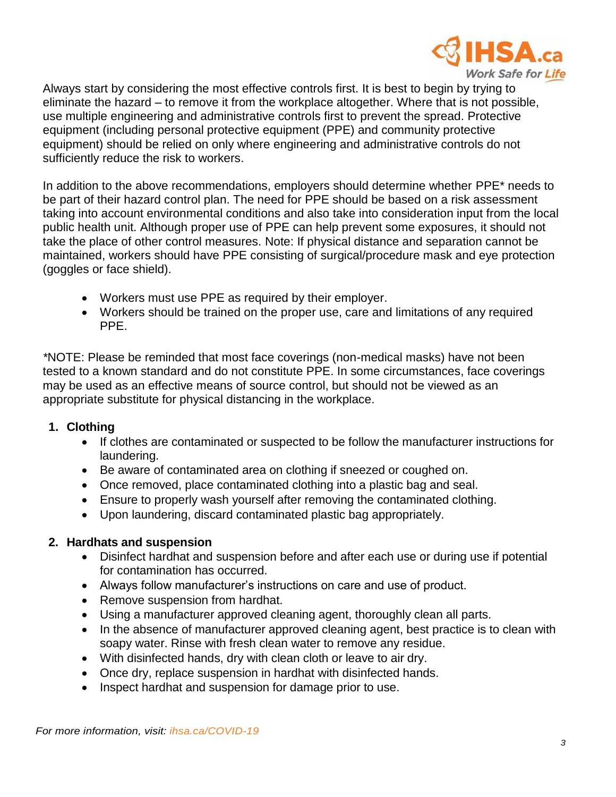

Always start by considering the most effective controls first. It is best to begin by trying to eliminate the hazard – to remove it from the workplace altogether. Where that is not possible, use multiple engineering and administrative controls first to prevent the spread. Protective equipment (including personal protective equipment (PPE) and community protective equipment) should be relied on only where engineering and administrative controls do not sufficiently reduce the risk to workers.

In addition to the above recommendations, employers should determine whether PPE\* needs to be part of their hazard control plan. The need for PPE should be based on a risk assessment taking into account environmental conditions and also take into consideration input from the local public health unit. Although proper use of PPE can help prevent some exposures, it should not take the place of other control measures. Note: If physical distance and separation cannot be maintained, workers should have PPE consisting of surgical/procedure mask and eye protection (goggles or face shield).

- Workers must use PPE as required by their employer.
- Workers should be trained on the proper use, care and limitations of any required PPE.

*\**NOTE: Please be reminded that most face coverings (non-medical masks) have not been tested to a known standard and do not constitute PPE. In some circumstances, face coverings may be used as an effective means of source control, but should not be viewed as an appropriate substitute for physical distancing in the workplace.

## **1. Clothing**

- If clothes are contaminated or suspected to be follow the manufacturer instructions for laundering.
- Be aware of contaminated area on clothing if sneezed or coughed on.
- Once removed, place contaminated clothing into a plastic bag and seal.
- Ensure to properly wash yourself after removing the contaminated clothing.
- Upon laundering, discard contaminated plastic bag appropriately.

## **2. Hardhats and suspension**

- Disinfect hardhat and suspension before and after each use or during use if potential for contamination has occurred.
- Always follow manufacturer's instructions on care and use of product.
- Remove suspension from hardhat.
- Using a manufacturer approved cleaning agent, thoroughly clean all parts.
- In the absence of manufacturer approved cleaning agent, best practice is to clean with soapy water. Rinse with fresh clean water to remove any residue.
- With disinfected hands, dry with clean cloth or leave to air dry.
- Once dry, replace suspension in hardhat with disinfected hands.
- Inspect hardhat and suspension for damage prior to use.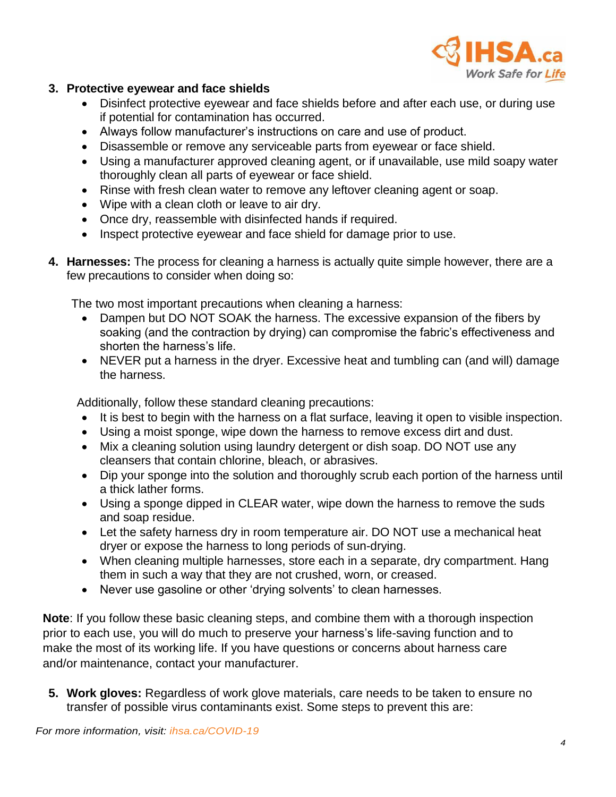

## **3. Protective eyewear and face shields**

- Disinfect protective eyewear and face shields before and after each use, or during use if potential for contamination has occurred.
- Always follow manufacturer's instructions on care and use of product.
- Disassemble or remove any serviceable parts from eyewear or face shield.
- Using a manufacturer approved cleaning agent, or if unavailable, use mild soapy water thoroughly clean all parts of eyewear or face shield.
- Rinse with fresh clean water to remove any leftover cleaning agent or soap.
- Wipe with a clean cloth or leave to air dry.
- Once dry, reassemble with disinfected hands if required.
- Inspect protective eyewear and face shield for damage prior to use.
- **4. Harnesses:** The process for cleaning a harness is actually quite simple however, there are a few precautions to consider when doing so:

The two most important precautions when cleaning a harness:

- Dampen but DO NOT SOAK the harness. The excessive expansion of the fibers by soaking (and the contraction by drying) can compromise the fabric's effectiveness and shorten the harness's life.
- NEVER put a harness in the dryer. Excessive heat and tumbling can (and will) damage the harness.

Additionally, follow these standard cleaning precautions:

- It is best to begin with the harness on a flat surface, leaving it open to visible inspection.
- Using a moist sponge, wipe down the harness to remove excess dirt and dust.
- Mix a cleaning solution using laundry detergent or dish soap. DO NOT use any cleansers that contain chlorine, bleach, or abrasives.
- Dip your sponge into the solution and thoroughly scrub each portion of the harness until a thick lather forms.
- Using a sponge dipped in CLEAR water, wipe down the harness to remove the suds and soap residue.
- Let the safety harness dry in room temperature air. DO NOT use a mechanical heat dryer or expose the harness to long periods of sun-drying.
- When cleaning multiple harnesses, store each in a separate, dry compartment. Hang them in such a way that they are not crushed, worn, or creased.
- Never use gasoline or other 'drying solvents' to clean harnesses.

**Note**: If you follow these basic cleaning steps, and combine them with a thorough inspection prior to each use, you will do much to preserve your harness's life-saving function and to make the most of its working life. If you have questions or concerns about harness care and/or maintenance, contact your manufacturer.

**5. Work gloves:** Regardless of work glove materials, care needs to be taken to ensure no transfer of possible virus contaminants exist. Some steps to prevent this are: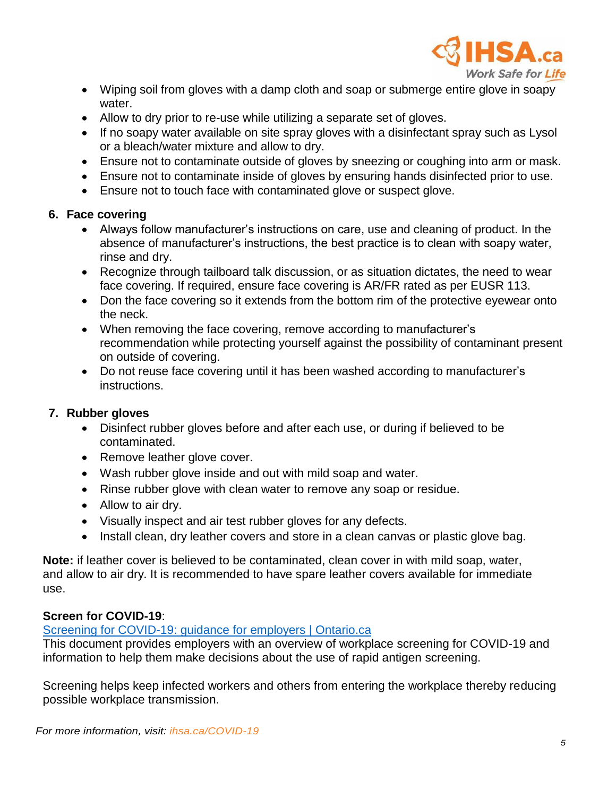

- Wiping soil from gloves with a damp cloth and soap or submerge entire glove in soapy water.
- Allow to dry prior to re-use while utilizing a separate set of gloves.
- If no soapy water available on site spray gloves with a disinfectant spray such as Lysol or a bleach/water mixture and allow to dry.
- Ensure not to contaminate outside of gloves by sneezing or coughing into arm or mask.
- Ensure not to contaminate inside of gloves by ensuring hands disinfected prior to use.
- Ensure not to touch face with contaminated glove or suspect glove.

## **6. Face covering**

- Always follow manufacturer's instructions on care, use and cleaning of product. In the absence of manufacturer's instructions, the best practice is to clean with soapy water, rinse and dry.
- Recognize through tailboard talk discussion, or as situation dictates, the need to wear face covering. If required, ensure face covering is AR/FR rated as per EUSR 113.
- Don the face covering so it extends from the bottom rim of the protective eyewear onto the neck.
- When removing the face covering, remove according to manufacturer's recommendation while protecting yourself against the possibility of contaminant present on outside of covering.
- Do not reuse face covering until it has been washed according to manufacturer's instructions.

## **7. Rubber gloves**

- Disinfect rubber gloves before and after each use, or during if believed to be contaminated.
- Remove leather glove cover.
- Wash rubber glove inside and out with mild soap and water.
- Rinse rubber glove with clean water to remove any soap or residue.
- Allow to air dry.
- Visually inspect and air test rubber gloves for any defects.
- Install clean, dry leather covers and store in a clean canvas or plastic glove bag.

**Note:** if leather cover is believed to be contaminated, clean cover in with mild soap, water, and allow to air dry. It is recommended to have spare leather covers available for immediate use.

## **Screen for COVID-19**:

## [Screening for COVID-19: guidance for employers | Ontario.ca](https://www.ontario.ca/page/screening-covid-19-guidance-employers)

This document provides employers with an overview of workplace screening for COVID-19 and information to help them make decisions about the use of rapid antigen screening.

Screening helps keep infected workers and others from entering the workplace thereby reducing possible workplace transmission.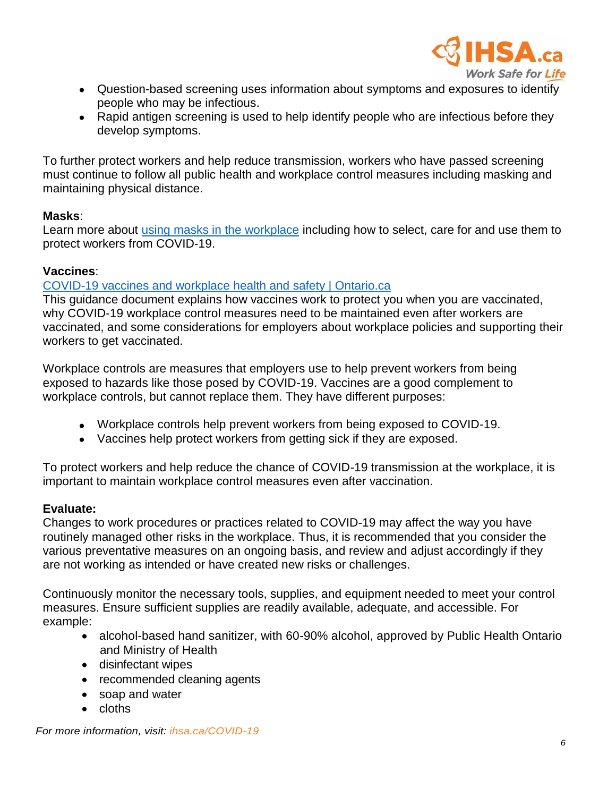

- Question-based screening uses information about symptoms and exposures to identify people who may be infectious.
- Rapid antigen screening is used to help identify people who are infectious before they develop symptoms.

To further protect workers and help reduce transmission, workers who have passed screening must continue to follow all public health and workplace control measures including masking and maintaining physical distance.

## **Masks**:

Learn more about [using masks in the workplace](https://www.ontario.ca/page/using-masks-workplace) including how to select, care for and use them to protect workers from COVID-19.

## **Vaccines**:

## [COVID-19 vaccines and workplace health and safety | Ontario.ca](https://www.ontario.ca/page/covid-19-vaccines-and-workplace-health-and-safety)

This guidance document explains how vaccines work to protect you when you are vaccinated, why COVID-19 workplace control measures need to be maintained even after workers are vaccinated, and some considerations for employers about workplace policies and supporting their workers to get vaccinated.

Workplace controls are measures that employers use to help prevent workers from being exposed to hazards like those posed by COVID-19. Vaccines are a good complement to workplace controls, but cannot replace them. They have different purposes:

- Workplace controls help prevent workers from being exposed to COVID-19.
- Vaccines help protect workers from getting sick if they are exposed.

To protect workers and help reduce the chance of COVID-19 transmission at the workplace, it is important to maintain workplace control measures even after vaccination.

## **Evaluate:**

Changes to work procedures or practices related to COVID-19 may affect the way you have routinely managed other risks in the workplace. Thus, it is recommended that you consider the various preventative measures on an ongoing basis, and review and adjust accordingly if they are not working as intended or have created new risks or challenges.

Continuously monitor the necessary tools, supplies, and equipment needed to meet your control measures. Ensure sufficient supplies are readily available, adequate, and accessible. For example:

- alcohol-based hand sanitizer, with 60-90% alcohol, approved by Public Health Ontario and Ministry of Health
- disinfectant wipes
- recommended cleaning agents
- soap and water
- cloths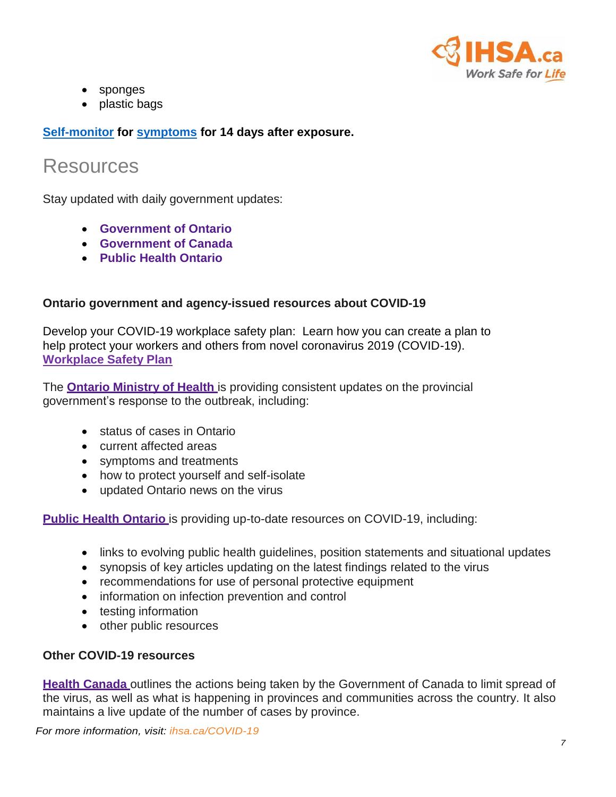

- sponges
- plastic bags

**[Self-monitor](https://www.publichealthontario.ca/-/media/documents/ncov/factsheet-covid-19-self-monitor.pdf?la=en) for [symptoms](https://covid-19.ontario.ca/self-assessment/) for 14 days after exposure.**

## Resources

Stay updated with daily government updates:

- **[Government](https://www.ontario.ca/page/2019-novel-coronavirus) of Ontario**
- **[Government](http://www.canada.ca/coronavirus) of Canada**
- **Public [Health Ontario](https://www.publichealthontario.ca/en/diseases-and-conditions/infectious-diseases/respiratory-diseases/novel-coronavirus)**

## **Ontario government and agency-issued resources about COVID-19**

Develop your COVID-19 workplace safety plan: Learn how you can create a plan to help protect your workers and others from novel coronavirus 2019 (COVID-19). **[Workplace Safety Plan](https://www.ontario.ca/page/develop-your-covid-19-workplace-safety-plan)**

The **Ontario [Ministry](https://www.ontario.ca/page/2019-novel-coronavirus) of Health** is providing consistent updates on the provincial government's response to the outbreak, including:

- status of cases in Ontario
- current affected areas
- symptoms and treatments
- how to protect yourself and self-isolate
- updated Ontario news on the virus

**Public [Health Ontario](https://www.publichealthontario.ca/en/diseases-and-conditions/infectious-diseases/respiratory-diseases/novel-coronavirus)** is providing up-to-date resources on COVID-19, including:

- links to evolving public health guidelines, position statements and situational updates
- synopsis of key articles updating on the latest findings related to the virus
- recommendations for use of personal protective equipment
- information on infection prevention and control
- testing information
- other public resources

## **Other COVID-19 resources**

**[Health Canada](https://www.canada.ca/en/public-health/services/diseases/coronavirus-disease-covid-19.html)** outlines the actions being taken by the Government of Canada to limit spread of the virus, as well as what is happening in provinces and communities across the country. It also maintains a live update of the number of cases by province.

*For more information, visit: ihsa.ca/COVID-19*